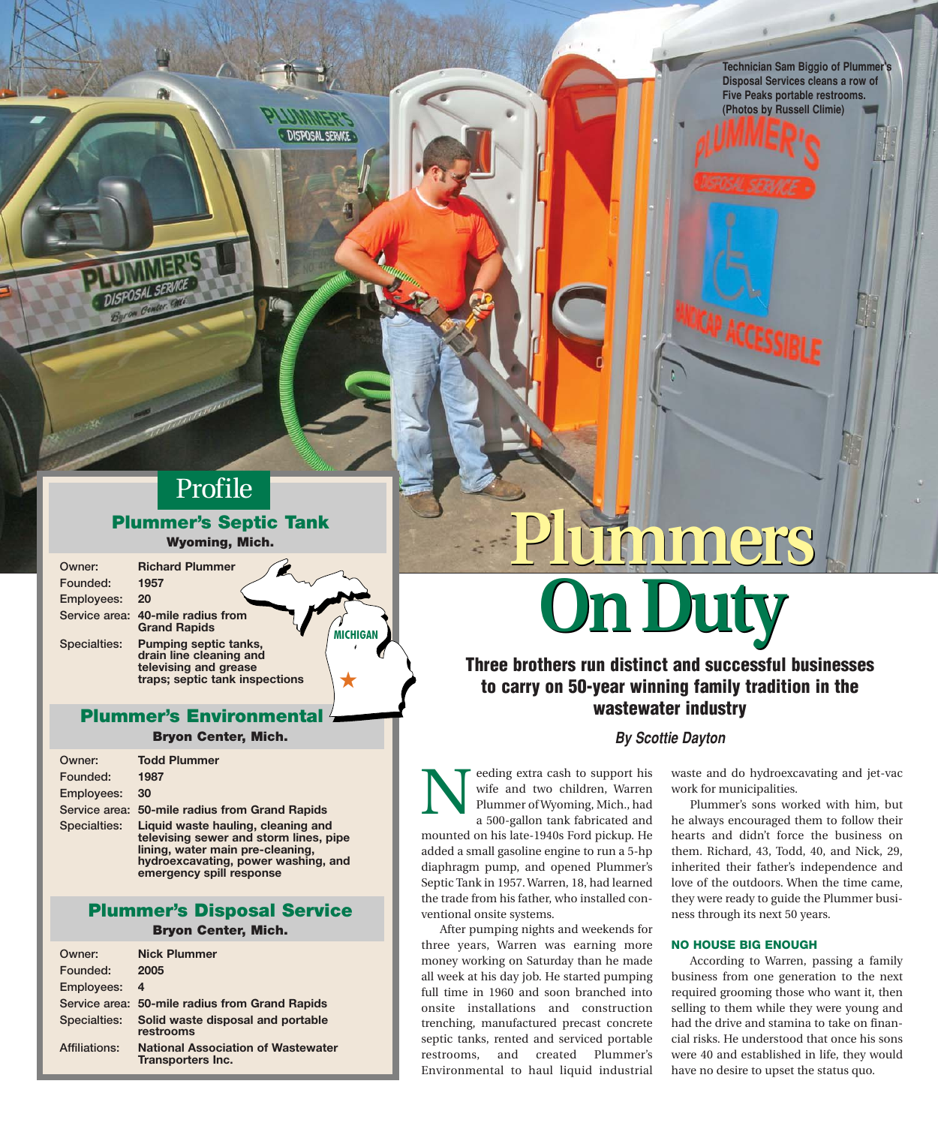**Technician Sam Biggio of Plummer's Five Peaks portable restrooms. Chatea by Pussell Climin) (Photos by Russell Climie)**

# Profile

Plummer's Septic Tanks Tanks Tanks Tanks Tanks Tanks Tanks Tanks Tanks Tanks Tanks Tanks Tanks Tanks Tanks Tanks Tanks Tanks Tanks Tanks Tanks Tanks Tanks Tanks Tanks Tanks Tanks Tanks Tanks Tanks Tanks Tanks Tanks Tanks T  $\mathcal{L}_{\mathbf{y}}$  and  $\mathcal{L}_{\mathbf{y}}$  and  $\mathcal{L}_{\mathbf{y}}$ 

**MICHIGAN**

★

Owner: **Richard Plummer** Founded: **1957**  Employees: **20** Service area: **40-mile radius from**

**Grand Rapids**  Specialties: **Pumping septic tanks, drain line cleaning and televising and grease traps; septic tank inspections** 

### **Plummer's Environmenta**

Bryon Center, Mich.

| Owner:       | <b>Todd Plummer</b>                                                                                                                                                                 |
|--------------|-------------------------------------------------------------------------------------------------------------------------------------------------------------------------------------|
| Founded:     | 1987                                                                                                                                                                                |
| Employees:   | 30                                                                                                                                                                                  |
|              | Service area: 50-mile radius from Grand Rapids                                                                                                                                      |
| Specialties: | Liquid waste hauling, cleaning and<br>televising sewer and storm lines, pipe<br>lining, water main pre-cleaning,<br>hydroexcavating, power washing, and<br>emergency spill response |

Plummer's Disposal Component Service Service Service Service Service Service Service Service Service Service S

| Owner:               | <b>Nick Plummer</b>                                            |
|----------------------|----------------------------------------------------------------|
| Founded:             | 2005                                                           |
| <b>Employees:</b>    | - 4                                                            |
|                      | Service area: 50-mile radius from Grand Rapids                 |
| Specialties:         | Solid waste disposal and portable<br>restrooms                 |
| <b>Affiliations:</b> | <b>National Association of Wastewater</b><br>Transporters Inc. |

# **Plummers Plummers On Duty On Duty**

**Three brothers run distinct and successful businesses to carry on 50-year winning family tradition in the wastewater industry** 

## **By Scottie Dayton**

eeding extra cash to support his wife and two children, Warren Plummer of Wyoming, Mich., had a 500-gallon tank fabricated and mounted on his late-1940s Ford pickup. He added a small gasoline engine to run a 5-hp diaphragm pump, and opened Plummer's Septic Tank in 1957. Warren, 18, had learned the trade from his father, who installed conventional onsite systems. N

After pumping nights and weekends for three years, Warren was earning more money working on Saturday than he made all week at his day job. He started pumping full time in 1960 and soon branched into onsite installations and construction trenching, manufactured precast concrete septic tanks, rented and serviced portable restrooms, and created Plummer's Environmental to haul liquid industrial

waste and do hydroexcavating and jet-vac work for municipalities.

Plummer's sons worked with him, but he always encouraged them to follow their hearts and didn't force the business on them. Richard, 43, Todd, 40, and Nick, 29, inherited their father's independence and love of the outdoors. When the time came, they were ready to guide the Plummer business through its next 50 years.

#### NO HOUSE BIG ENOUGH

According to Warren, passing a family business from one generation to the next required grooming those who want it, then selling to them while they were young and had the drive and stamina to take on financial risks. He understood that once his sons were 40 and established in life, they would have no desire to upset the status quo.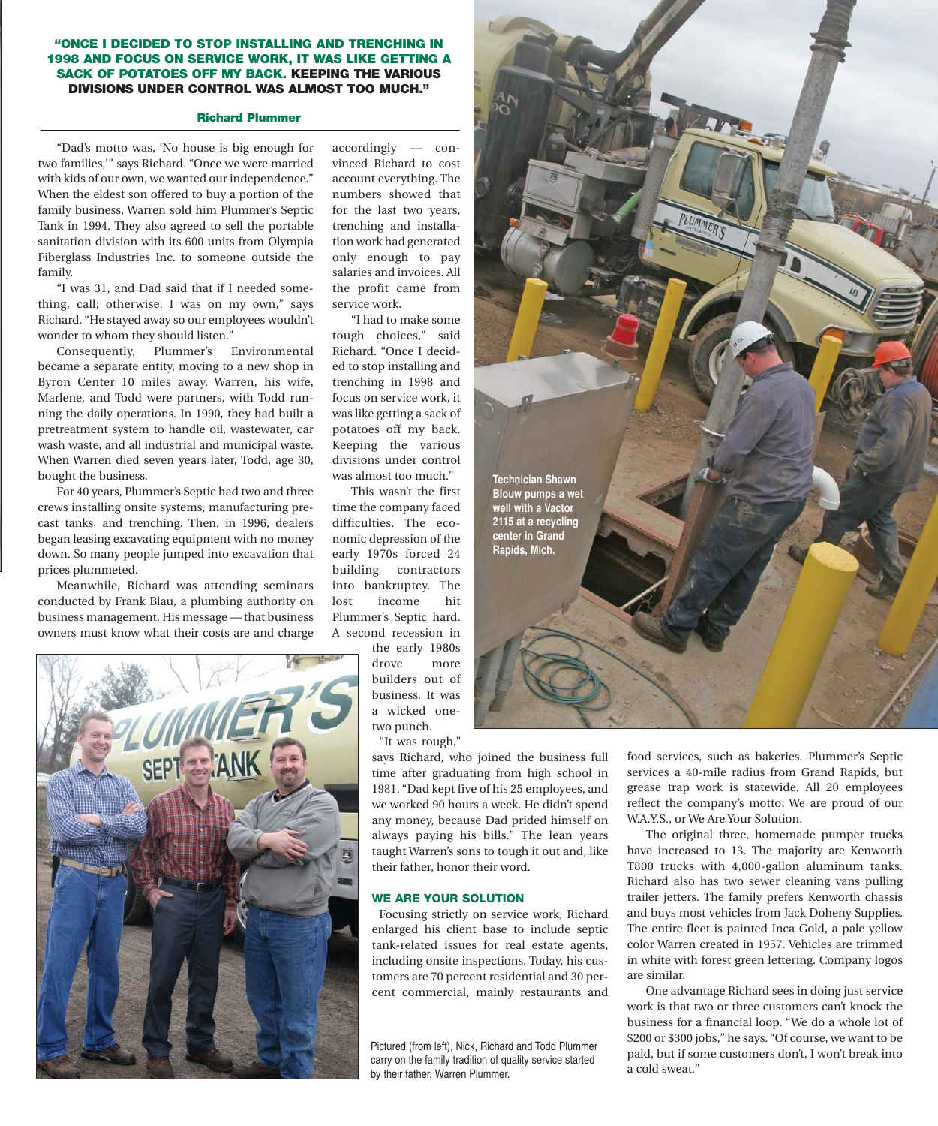#### "ONCE I DECIDED TO STOP INSTALLING AND TRENCHING IN 1998 AND FOCUS ON SERVICE WORK, IT WAS LIKE GETTING A SACK OF POTATOES OFF MY BACK. KEEPING THE VARIOUS DIVISIONS UNDER CONTROL WAS ALMOST TOO MUCH."

#### Richard Plummer

"Dad's motto was, 'No house is big enough for two families,'" says Richard. "Once we were married with kids of our own, we wanted our independence." When the eldest son offered to buy a portion of the family business, Warren sold him Plummer's Septic Tank in 1994. They also agreed to sell the portable sanitation division with its 600 units from Olympia Fiberglass Industries Inc. to someone outside the family.

"I was 31, and Dad said that if I needed something, call; otherwise, I was on my own," says Richard. "He stayed away so our employees wouldn't wonder to whom they should listen."

Consequently, Plummer's Environmental became a separate entity, moving to a new shop in Byron Center 10 miles away. Warren, his wife, Marlene, and Todd were partners, with Todd running the daily operations. In 1990, they had built a pretreatment system to handle oil, wastewater, car wash waste, and all industrial and municipal waste. When Warren died seven years later, Todd, age 30, bought the business.

For 40 years, Plummer's Septic had two and three crews installing onsite systems, manufacturing precast tanks, and trenching. Then, in 1996, dealers began leasing excavating equipment with no money down. So many people jumped into excavation that prices plummeted.

Meanwhile, Richard was attending seminars conducted by Frank Blau, a plumbing authority on business management. His message — that business owners must know what their costs are and charge



accordingly — convinced Richard to cost account everything. The numbers showed that for the last two years, trenching and installation work had generated only enough to pay salaries and invoices. All the profit came from service work.

"I had to make some tough choices," said Richard. "Once I decided to stop installing and trenching in 1998 and focus on service work, it was like getting a sack of potatoes off my back. Keeping the various divisions under control was almost too much."

This wasn't the first time the company faced difficulties. The economic depression of the early 1970s forced 24 building contractors into bankruptcy. The lost income hit Plummer's Septic hard. A second recession in

the early 1980s drove more builders out of business. It was a wicked onetwo punch.

"It was rough,"

says Richard, who joined the business full time after graduating from high school in 1981. "Dad kept five of his 25 employees, and we worked 90 hours a week. He didn't spend any money, because Dad prided himself on always paying his bills." The lean years taught Warren's sons to tough it out and, like their father, honor their word.

#### WE ARE YOUR SOLUTION

Focusing strictly on service work, Richard enlarged his client base to include septic tank-related issues for real estate agents, including onsite inspections. Today, his customers are 70 percent residential and 30 percent commercial, mainly restaurants and

Pictured (from left), Nick, Richard and Todd Plummer carry on the family tradition of quality service started by their father, Warren Plummer.



food services, such as bakeries. Plummer's Septic services a 40-mile radius from Grand Rapids, but grease trap work is statewide. All 20 employees reflect the company's motto: We are proud of our W.A.Y.S., or We Are Your Solution.

The original three, homemade pumper trucks have increased to 13. The majority are Kenworth T800 trucks with 4,000-gallon aluminum tanks. Richard also has two sewer cleaning vans pulling trailer jetters. The family prefers Kenworth chassis and buys most vehicles from Jack Doheny Supplies. The entire fleet is painted Inca Gold, a pale yellow color Warren created in 1957. Vehicles are trimmed in white with forest green lettering. Company logos are similar.

One advantage Richard sees in doing just service work is that two or three customers can't knock the business for a financial loop. "We do a whole lot of \$200 or \$300 jobs," he says. "Of course, we want to be paid, but if some customers don't, I won't break into a cold sweat."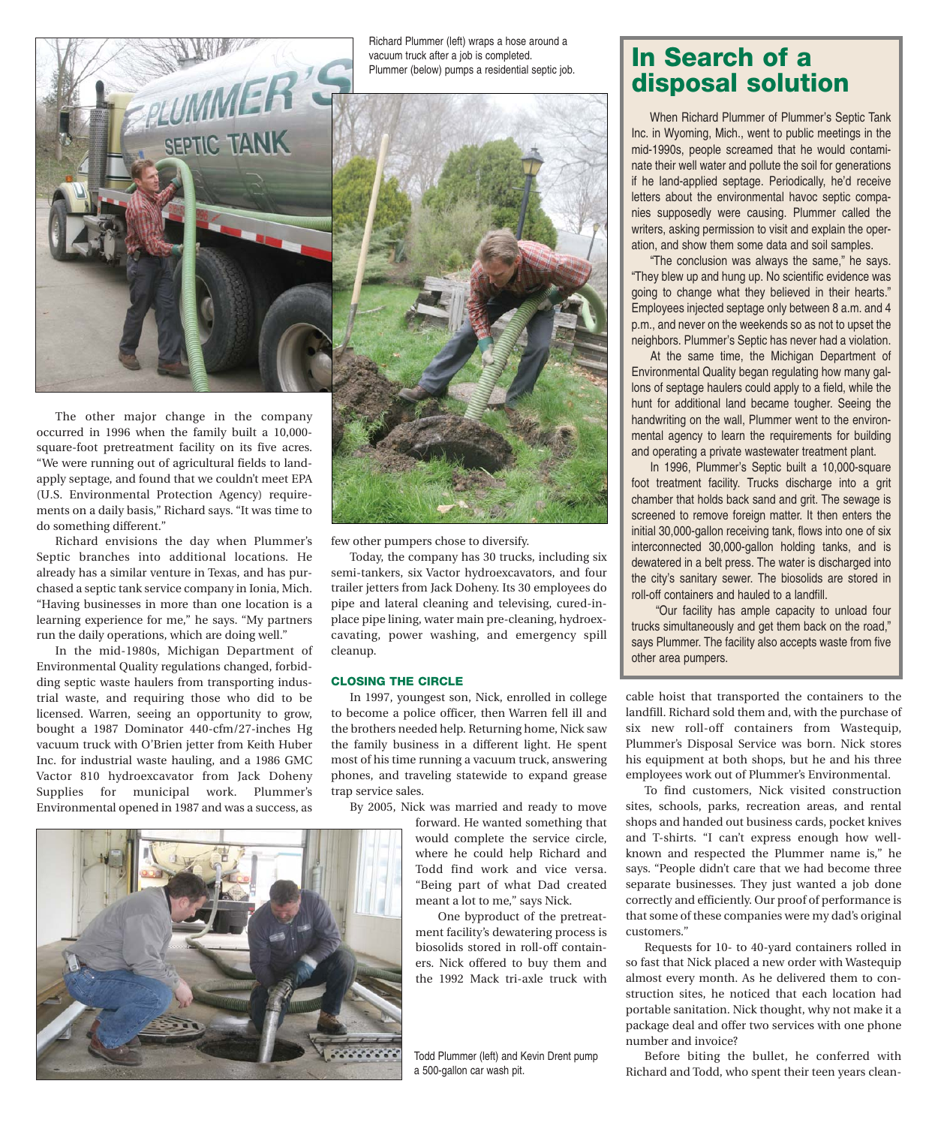

occurred in 1996 when the family built a 10,000 square-foot pretreatment facility on its five acres. "We were running out of agricultural fields to landapply septage, and found that we couldn't meet EPA (U.S. Environmental Protection Agency) requirements on a daily basis," Richard says. "It was time to do something different."

Richard envisions the day when Plummer's Septic branches into additional locations. He already has a similar venture in Texas, and has purchased a septic tank service company in Ionia, Mich. "Having businesses in more than one location is a learning experience for me," he says. "My partners run the daily operations, which are doing well."

In the mid-1980s, Michigan Department of Environmental Quality regulations changed, forbidding septic waste haulers from transporting industrial waste, and requiring those who did to be licensed. Warren, seeing an opportunity to grow, bought a 1987 Dominator 440-cfm/27-inches Hg vacuum truck with O'Brien jetter from Keith Huber Inc. for industrial waste hauling, and a 1986 GMC Vactor 810 hydroexcavator from Jack Doheny Supplies for municipal work. Plummer's Environmental opened in 1987 and was a success, as



few other pumpers chose to diversify.

Today, the company has 30 trucks, including six semi-tankers, six Vactor hydroexcavators, and four trailer jetters from Jack Doheny. Its 30 employees do pipe and lateral cleaning and televising, cured-inplace pipe lining, water main pre-cleaning, hydroexcavating, power washing, and emergency spill cleanup.

#### CLOSING THE CIRCLE

In 1997, youngest son, Nick, enrolled in college to become a police officer, then Warren fell ill and the brothers needed help. Returning home, Nick saw the family business in a different light. He spent most of his time running a vacuum truck, answering phones, and traveling statewide to expand grease trap service sales.

By 2005, Nick was married and ready to move

forward. He wanted something that would complete the service circle, where he could help Richard and Todd find work and vice versa. "Being part of what Dad created meant a lot to me," says Nick.

One byproduct of the pretreatment facility's dewatering process is biosolids stored in roll-off containers. Nick offered to buy them and the 1992 Mack tri-axle truck with

Todd Plummer (left) and Kevin Drent pump a 500-gallon car wash pit.

## In Search of a disposal solution

When Richard Plummer of Plummer's Septic Tank Inc. in Wyoming, Mich., went to public meetings in the mid-1990s, people screamed that he would contaminate their well water and pollute the soil for generations if he land-applied septage. Periodically, he'd receive letters about the environmental havoc septic companies supposedly were causing. Plummer called the writers, asking permission to visit and explain the operation, and show them some data and soil samples.

"The conclusion was always the same," he says. "They blew up and hung up. No scientific evidence was going to change what they believed in their hearts." Employees injected septage only between 8 a.m. and 4 p.m., and never on the weekends so as not to upset the neighbors. Plummer's Septic has never had a violation.

At the same time, the Michigan Department of Environmental Quality began regulating how many gallons of septage haulers could apply to a field, while the hunt for additional land became tougher. Seeing the handwriting on the wall, Plummer went to the environmental agency to learn the requirements for building and operating a private wastewater treatment plant.

In 1996, Plummer's Septic built a 10,000-square foot treatment facility. Trucks discharge into a grit chamber that holds back sand and grit. The sewage is screened to remove foreign matter. It then enters the initial 30,000-gallon receiving tank, flows into one of six interconnected 30,000-gallon holding tanks, and is dewatered in a belt press. The water is discharged into the city's sanitary sewer. The biosolids are stored in roll-off containers and hauled to a landfill.

"Our facility has ample capacity to unload four trucks simultaneously and get them back on the road," says Plummer. The facility also accepts waste from five other area pumpers.

cable hoist that transported the containers to the landfill. Richard sold them and, with the purchase of six new roll-off containers from Wastequip, Plummer's Disposal Service was born. Nick stores his equipment at both shops, but he and his three employees work out of Plummer's Environmental.

To find customers, Nick visited construction sites, schools, parks, recreation areas, and rental shops and handed out business cards, pocket knives and T-shirts. "I can't express enough how wellknown and respected the Plummer name is," he says. "People didn't care that we had become three separate businesses. They just wanted a job done correctly and efficiently. Our proof of performance is that some of these companies were my dad's original customers."

Requests for 10- to 40-yard containers rolled in so fast that Nick placed a new order with Wastequip almost every month. As he delivered them to construction sites, he noticed that each location had portable sanitation. Nick thought, why not make it a package deal and offer two services with one phone number and invoice?

Before biting the bullet, he conferred with Richard and Todd, who spent their teen years clean-